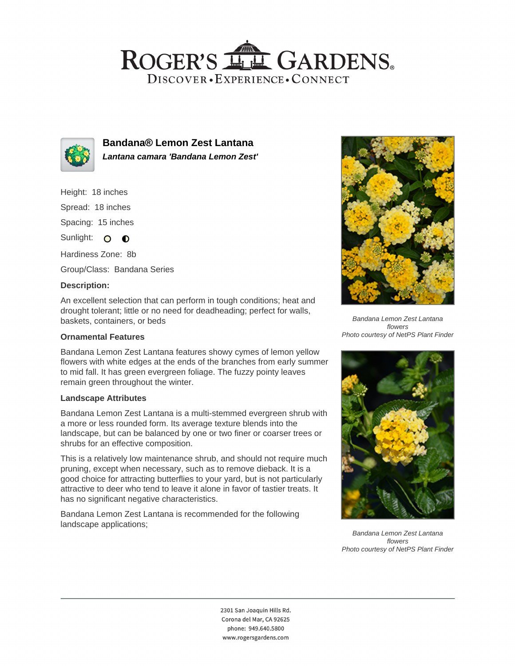## ROGER'S LL GARDENS. DISCOVER · EXPERIENCE · CONNECT



**Bandana® Lemon Zest Lantana Lantana camara 'Bandana Lemon Zest'**

Height: 18 inches

Spread: 18 inches

Spacing: 15 inches

Sunlight: O **O** 

Hardiness Zone: 8b

Group/Class: Bandana Series

### **Description:**

An excellent selection that can perform in tough conditions; heat and drought tolerant; little or no need for deadheading; perfect for walls, baskets, containers, or beds

### **Ornamental Features**

Bandana Lemon Zest Lantana features showy cymes of lemon yellow flowers with white edges at the ends of the branches from early summer to mid fall. It has green evergreen foliage. The fuzzy pointy leaves remain green throughout the winter.

### **Landscape Attributes**

Bandana Lemon Zest Lantana is a multi-stemmed evergreen shrub with a more or less rounded form. Its average texture blends into the landscape, but can be balanced by one or two finer or coarser trees or shrubs for an effective composition.

This is a relatively low maintenance shrub, and should not require much pruning, except when necessary, such as to remove dieback. It is a good choice for attracting butterflies to your yard, but is not particularly attractive to deer who tend to leave it alone in favor of tastier treats. It has no significant negative characteristics.

Bandana Lemon Zest Lantana is recommended for the following landscape applications;



Bandana Lemon Zest Lantana flowers Photo courtesy of NetPS Plant Finder



Bandana Lemon Zest Lantana flowers Photo courtesy of NetPS Plant Finder

2301 San Joaquin Hills Rd. Corona del Mar, CA 92625 phone: 949.640.5800 www.rogersgardens.com